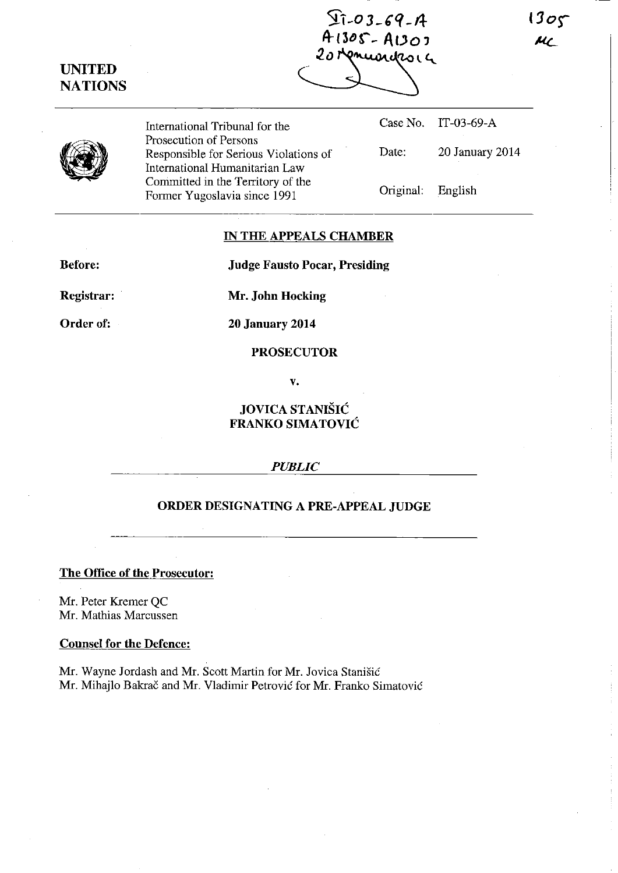**7T-O 3** *-,q* -f.l- $1305$ A-13b~-\_ *ADo'*   $\mu_{\mathcal{L}}$ *20*  **UNITED NATIONS**  Case No. IT-03-69-A International Tribunal for the Prosecution of Persons (I) Date: 20 January 2014 Responsible for Serious Violations of International Humanitarian Law Committed in the Territory of the Original: English Former Yugoslavia since 1991

## **IN THE APPEALS CHAMBER**

**Before:** 

**Judge Fausto Pocar, Presiding** 

**Registrar:** 

**Mr. John Hocking** 

**Order of:** 

**20 January 2014** 

**PROSECUTOR** 

**v.** 

# **JOVICA STANISIC FRANKO SIMATOVIC**

### *PUBLIC*

## **ORDER DESIGNATING A PRE-APPEAL JUDGE**

### **The Office of the Prosecutor:**

Mr. Peter Kremer QC Mr. Mathias Marcussen

#### **Counsel for the Defence:**

Mr. Wayne Jordash and Mr. Scott Martin for Mr. Jovica Stanisic Mr. Mihajlo Bakrac and Mr. Vladimir Petrovic for Mr. Franko Simatovic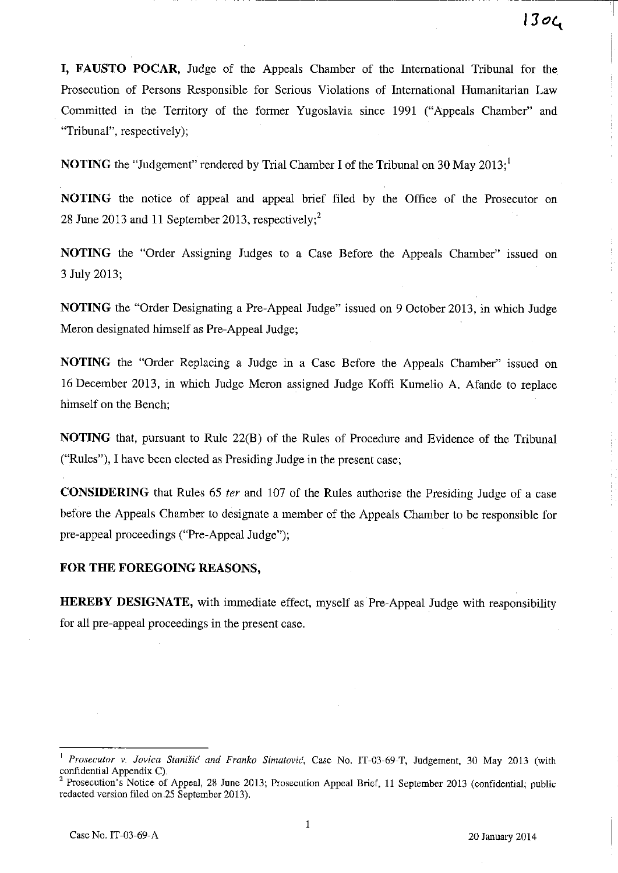~-----~-~---------- -- --------~T

**I, FAUSTO POCAR**, Judge of the Appeals Chamber of the International Tribunal for the Prosecution of Persons Responsible for Serious Violations of International Humanitarian Law Committed in the Territory of the former Yugoslavia since 1991 ("Appeals Chamber" and "Tribunal", respectively);

**NOTING** the "Judgement" rendered by Trial Chamber I of the Tribunal on 30 May 2013;

**NOTING** the notice of appeal and appeal brief filed by the Office of the Prosecutor on 28 June 2013 and 11 September 2013, respectively;<sup>2</sup>

**NOTING** the "Order Assigning Judges to a Case Before the Appeals Chamber" issued on 3 July 2013;

**NOTING** the "Order Designating a Pre-Appeal Judge" issued on 9 October 2013, in which Judge Meron designated himself as Pre-Appeal Judge;

**NOTING** the "Order Replacing a Judge in a Case Before the Appeals Chamber" issued on 16 December 2013, in which Judge Meron assigned Judge Koffl Kumelio A. Afande to replace himself on the Bench;

**NOTING** that, pursuant to Rule 22(B) of the Rules of Procedure and Evidence of the Tribunal ("Rules"), I have been elected as Presiding Judge in the present case;

**CONSIDERING** that Rules 65 *ter* and lO7 of the Rules authorise the Presiding Judge of a case before the Appeals Chamber to designate a member of the Appeals Chamber to be responsible for pre-appeal proceedings ("Pre-Appeal Judge");

#### **FOR THE FOREGOING REASONS,**

**HEREBY DESIGNATE,** with immediate effect, myself as Pre-Appeal Judge with responsibility for all pre-appeal proceedings in the present case.

Prosecutor v. Jovica Stanišić and Franko Simatović, Case No. IT-03-69-T, Judgement, 30 May 2013 (with confidential Appendix C).

<sup>&</sup>lt;sup>2</sup> Prosecution's Notice of Appeal, 28 June 2013; Prosecution Appeal Brief, 11 September 2013 (confidential; public redacted version filed on.25 September 2013).